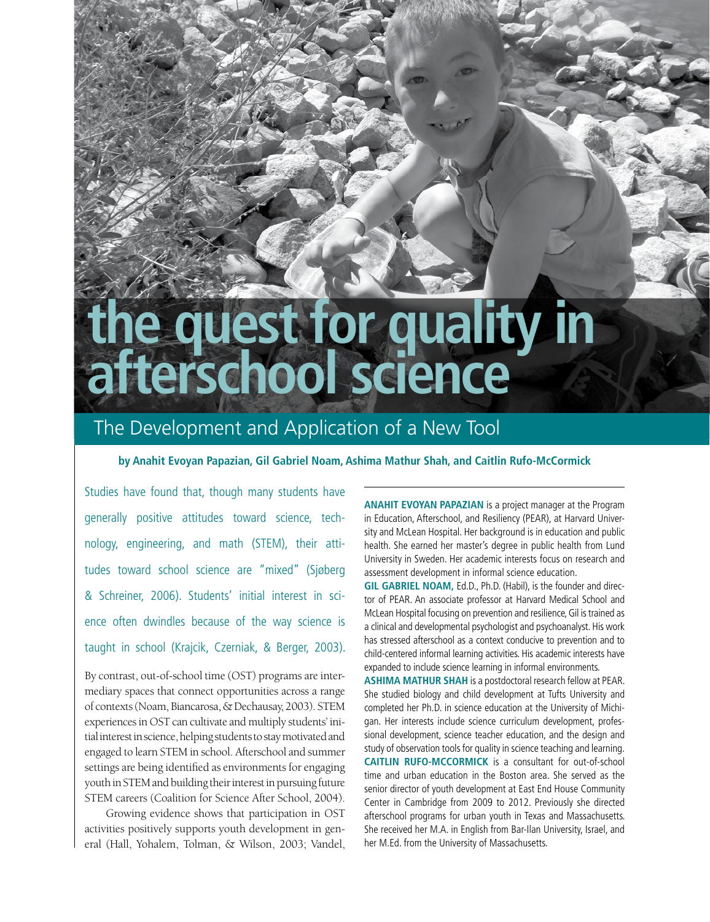# **the quest for quality in afterschool science**

# The Development and Application of a New Tool

# **by Anahit Evoyan Papazian, Gil Gabriel Noam, Ashima Mathur Shah, and Caitlin Rufo-McCormick**

Studies have found that, though many students have generally positive attitudes toward science, technology, engineering, and math (STEM), their attitudes toward school science are "mixed" (Sjøberg & Schreiner, 2006). Students' initial interest in science often dwindles because of the way science is taught in school (Krajcik, Czerniak, & Berger, 2003).

By contrast, out-of-school time (OST) programs are intermediary spaces that connect opportunities across a range of contexts (Noam, Biancarosa, & Dechausay, 2003). STEM experiences in OST can cultivate and multiply students' initial interest in science, helping students to stay motivated and engaged to learn STEM in school. Afterschool and summer settings are being identified as environments for engaging youth in STEM and building their interest in pursuing future STEM careers (Coalition for Science After School, 2004).

Growing evidence shows that participation in OST activities positively supports youth development in general (Hall, Yohalem, Tolman, & Wilson, 2003; Vandel, **Anahit Evoyan Papazian** is a project manager at the Program in Education, Afterschool, and Resiliency (PEAR), at Harvard University and McLean Hospital. Her background is in education and public health. She earned her master's degree in public health from Lund University in Sweden. Her academic interests focus on research and assessment development in informal science education.

**Gil Gabriel Noam,** Ed.D., Ph.D. (Habil), is the founder and director of PEAR. An associate professor at Harvard Medical School and McLean Hospital focusing on prevention and resilience, Gil is trained as a clinical and developmental psychologist and psychoanalyst. His work has stressed afterschool as a context conducive to prevention and to child-centered informal learning activities. His academic interests have expanded to include science learning in informal environments.

**Ashima Mathur Shah** is a postdoctoral research fellow at PEAR. She studied biology and child development at Tufts University and completed her Ph.D. in science education at the University of Michigan. Her interests include science curriculum development, professional development, science teacher education, and the design and study of observation tools for quality in science teaching and learning. **Caitlin Rufo-McCormick** is a consultant for out-of-school time and urban education in the Boston area. She served as the senior director of youth development at East End House Community Center in Cambridge from 2009 to 2012. Previously she directed afterschool programs for urban youth in Texas and Massachusetts. She received her M.A. in English from Bar-Ilan University, Israel, and her M.Ed. from the University of Massachusetts.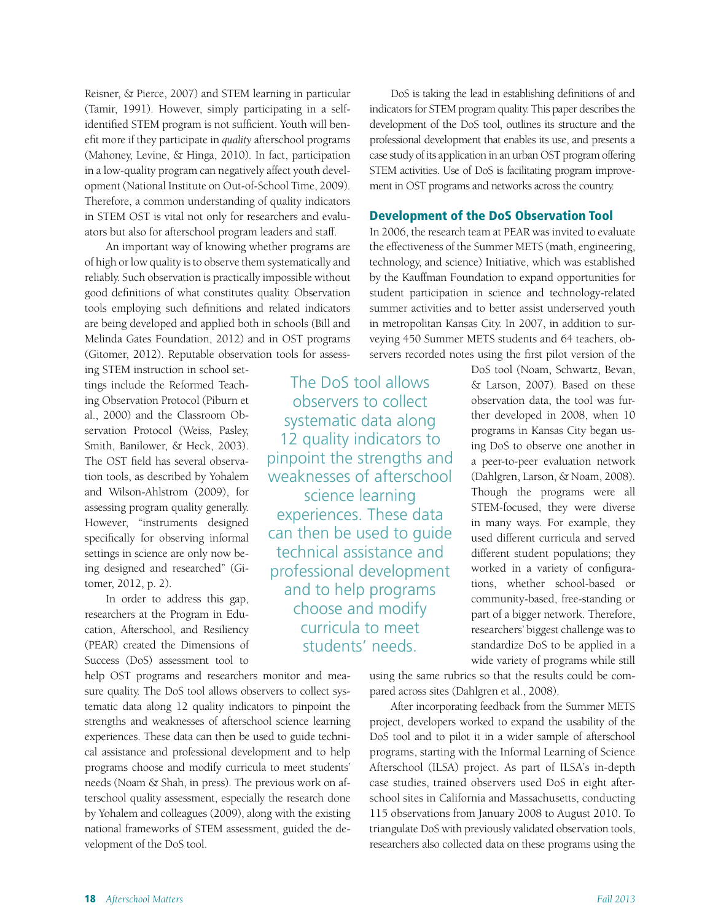Reisner, & Pierce, 2007) and STEM learning in particular (Tamir, 1991). However, simply participating in a selfidentified STEM program is not sufficient. Youth will benefit more if they participate in *quality* afterschool programs (Mahoney, Levine, & Hinga, 2010). In fact, participation in a low-quality program can negatively affect youth development (National Institute on Out-of-School Time, 2009). Therefore, a common understanding of quality indicators in STEM OST is vital not only for researchers and evaluators but also for afterschool program leaders and staff.

An important way of knowing whether programs are of high or low quality is to observe them systematically and reliably. Such observation is practically impossible without good definitions of what constitutes quality. Observation tools employing such definitions and related indicators are being developed and applied both in schools (Bill and Melinda Gates Foundation, 2012) and in OST programs (Gitomer, 2012). Reputable observation tools for assess-

> The DoS tool allows observers to collect systematic data along 12 quality indicators to pinpoint the strengths and weaknesses of afterschool science learning experiences. These data can then be used to guide technical assistance and professional development and to help programs choose and modify curricula to meet students' needs.

ing STEM instruction in school settings include the Reformed Teaching Observation Protocol (Piburn et al., 2000) and the Classroom Observation Protocol (Weiss, Pasley, Smith, Banilower, & Heck, 2003). The OST field has several observation tools, as described by Yohalem and Wilson-Ahlstrom (2009), for assessing program quality generally. However, "instruments designed specifically for observing informal settings in science are only now being designed and researched" (Gitomer, 2012, p. 2).

In order to address this gap, researchers at the Program in Education, Afterschool, and Resiliency (PEAR) created the Dimensions of Success (DoS) assessment tool to

help OST programs and researchers monitor and measure quality. The DoS tool allows observers to collect systematic data along 12 quality indicators to pinpoint the strengths and weaknesses of afterschool science learning experiences. These data can then be used to guide technical assistance and professional development and to help programs choose and modify curricula to meet students' needs (Noam & Shah, in press). The previous work on afterschool quality assessment, especially the research done by Yohalem and colleagues (2009), along with the existing national frameworks of STEM assessment, guided the development of the DoS tool.

DoS is taking the lead in establishing definitions of and indicators for STEM program quality. This paper describes the development of the DoS tool, outlines its structure and the professional development that enables its use, and presents a case study of its application in an urban OST program offering STEM activities. Use of DoS is facilitating program improvement in OST programs and networks across the country.

## Development of the DoS Observation Tool

In 2006, the research team at PEAR was invited to evaluate the effectiveness of the Summer METS (math, engineering, technology, and science) Initiative, which was established by the Kauffman Foundation to expand opportunities for student participation in science and technology-related summer activities and to better assist underserved youth in metropolitan Kansas City. In 2007, in addition to surveying 450 Summer METS students and 64 teachers, observers recorded notes using the first pilot version of the

> DoS tool (Noam, Schwartz, Bevan, & Larson, 2007). Based on these observation data, the tool was further developed in 2008, when 10 programs in Kansas City began using DoS to observe one another in a peer-to-peer evaluation network (Dahlgren, Larson, & Noam, 2008). Though the programs were all STEM-focused, they were diverse in many ways. For example, they used different curricula and served different student populations; they worked in a variety of configurations, whether school-based or community-based, free-standing or part of a bigger network. Therefore, researchers' biggest challenge was to standardize DoS to be applied in a wide variety of programs while still

using the same rubrics so that the results could be compared across sites (Dahlgren et al., 2008).

After incorporating feedback from the Summer METS project, developers worked to expand the usability of the DoS tool and to pilot it in a wider sample of afterschool programs, starting with the Informal Learning of Science Afterschool (ILSA) project. As part of ILSA's in-depth case studies, trained observers used DoS in eight afterschool sites in California and Massachusetts, conducting 115 observations from January 2008 to August 2010. To triangulate DoS with previously validated observation tools, researchers also collected data on these programs using the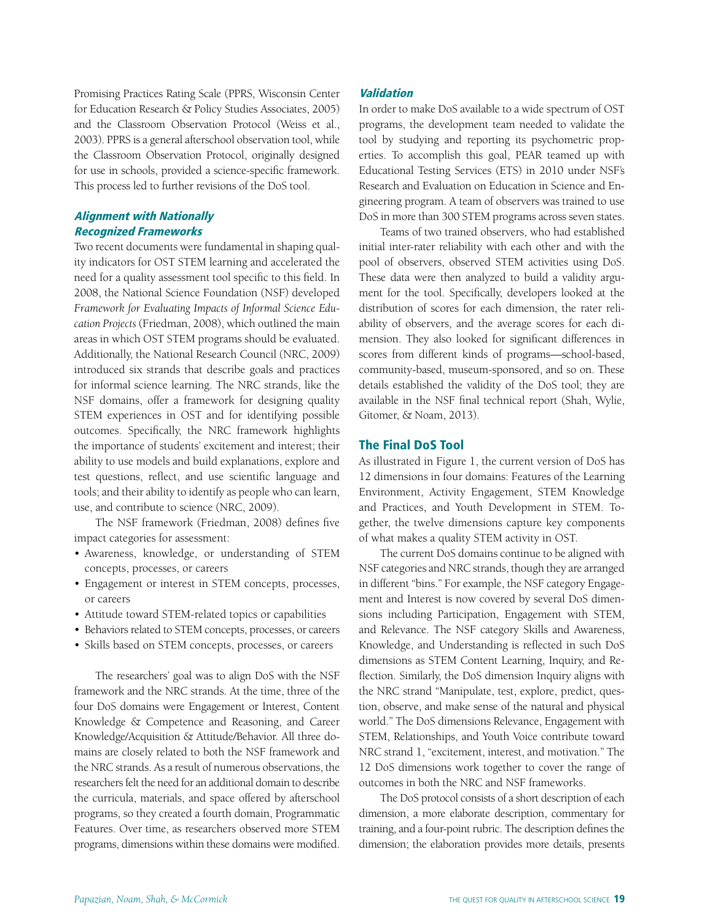Promising Practices Rating Scale (PPRS, Wisconsin Center for Education Research & Policy Studies Associates, 2005) and the Classroom Observation Protocol (Weiss et al., 2003). PPRS is a general afterschool observation tool, while the Classroom Observation Protocol, originally designed for use in schools, provided a science-specific framework. This process led to further revisions of the DoS tool.

# Alignment with Nationally Recognized Frameworks

Two recent documents were fundamental in shaping quality indicators for OST STEM learning and accelerated the need for a quality assessment tool specific to this field. In 2008, the National Science Foundation (NSF) developed *Framework for Evaluating Impacts of Informal Science Education Projects* (Friedman, 2008), which outlined the main areas in which OST STEM programs should be evaluated. Additionally, the National Research Council (NRC, 2009) introduced six strands that describe goals and practices for informal science learning. The NRC strands, like the NSF domains, offer a framework for designing quality STEM experiences in OST and for identifying possible outcomes. Specifically, the NRC framework highlights the importance of students' excitement and interest; their ability to use models and build explanations, explore and test questions, reflect, and use scientific language and tools; and their ability to identify as people who can learn, use, and contribute to science (NRC, 2009).

The NSF framework (Friedman, 2008) defines five impact categories for assessment:

- • Awareness, knowledge, or understanding of STEM concepts, processes, or careers
- Engagement or interest in STEM concepts, processes, or careers
- • Attitude toward STEM-related topics or capabilities
- • Behaviors related to STEM concepts, processes, or careers
- • Skills based on STEM concepts, processes, or careers

The researchers' goal was to align DoS with the NSF framework and the NRC strands. At the time, three of the four DoS domains were Engagement or Interest, Content Knowledge & Competence and Reasoning, and Career Knowledge/Acquisition & Attitude/Behavior. All three domains are closely related to both the NSF framework and the NRC strands. As a result of numerous observations, the researchers felt the need for an additional domain to describe the curricula, materials, and space offered by afterschool programs, so they created a fourth domain, Programmatic Features. Over time, as researchers observed more STEM programs, dimensions within these domains were modified.

# Validation

In order to make DoS available to a wide spectrum of OST programs, the development team needed to validate the tool by studying and reporting its psychometric properties. To accomplish this goal, PEAR teamed up with Educational Testing Services (ETS) in 2010 under NSF's Research and Evaluation on Education in Science and Engineering program. A team of observers was trained to use DoS in more than 300 STEM programs across seven states.

Teams of two trained observers, who had established initial inter-rater reliability with each other and with the pool of observers, observed STEM activities using DoS. These data were then analyzed to build a validity argument for the tool. Specifically, developers looked at the distribution of scores for each dimension, the rater reliability of observers, and the average scores for each dimension. They also looked for significant differences in scores from different kinds of programs—school-based, community-based, museum-sponsored, and so on. These details established the validity of the DoS tool; they are available in the NSF final technical report (Shah, Wylie, Gitomer, & Noam, 2013).

### The Final DoS Tool

As illustrated in Figure 1, the current version of DoS has 12 dimensions in four domains: Features of the Learning Environment, Activity Engagement, STEM Knowledge and Practices, and Youth Development in STEM. Together, the twelve dimensions capture key components of what makes a quality STEM activity in OST.

The current DoS domains continue to be aligned with NSF categories and NRC strands, though they are arranged in different "bins." For example, the NSF category Engagement and Interest is now covered by several DoS dimensions including Participation, Engagement with STEM, and Relevance. The NSF category Skills and Awareness, Knowledge, and Understanding is reflected in such DoS dimensions as STEM Content Learning, Inquiry, and Reflection. Similarly, the DoS dimension Inquiry aligns with the NRC strand "Manipulate, test, explore, predict, question, observe, and make sense of the natural and physical world." The DoS dimensions Relevance, Engagement with STEM, Relationships, and Youth Voice contribute toward NRC strand 1, "excitement, interest, and motivation." The 12 DoS dimensions work together to cover the range of outcomes in both the NRC and NSF frameworks.

The DoS protocol consists of a short description of each dimension, a more elaborate description, commentary for training, and a four-point rubric. The description defines the dimension; the elaboration provides more details, presents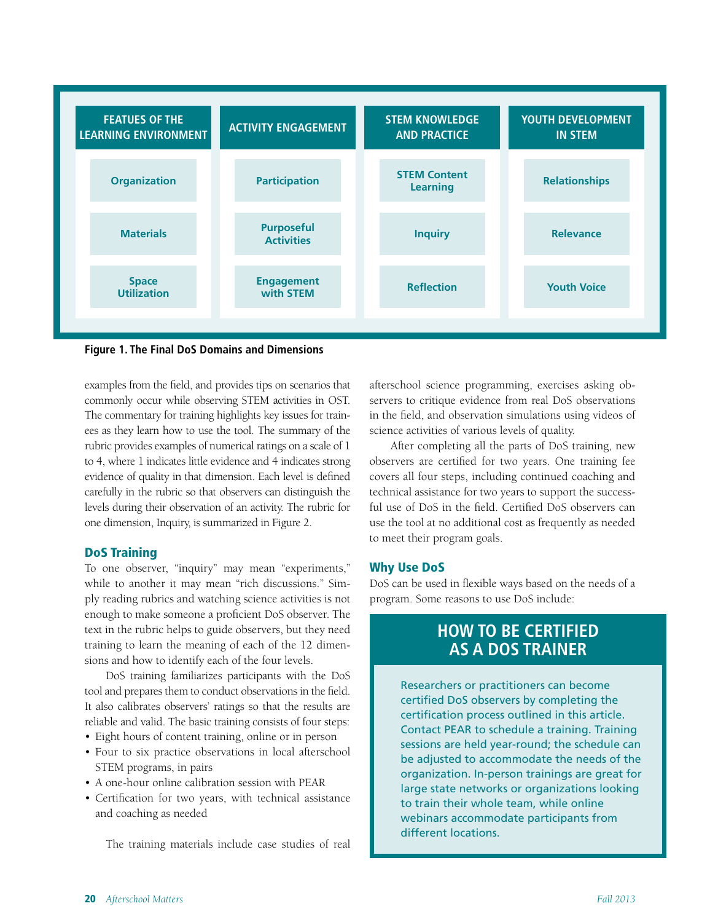

**Figure 1. The Final DoS Domains and Dimensions**

examples from the field, and provides tips on scenarios that commonly occur while observing STEM activities in OST. The commentary for training highlights key issues for trainees as they learn how to use the tool. The summary of the rubric provides examples of numerical ratings on a scale of 1 to 4, where 1 indicates little evidence and 4 indicates strong evidence of quality in that dimension. Each level is defined carefully in the rubric so that observers can distinguish the levels during their observation of an activity. The rubric for one dimension, Inquiry, is summarized in Figure 2.

# DoS Training

To one observer, "inquiry" may mean "experiments," while to another it may mean "rich discussions." Simply reading rubrics and watching science activities is not enough to make someone a proficient DoS observer. The text in the rubric helps to guide observers, but they need training to learn the meaning of each of the 12 dimensions and how to identify each of the four levels.

DoS training familiarizes participants with the DoS tool and prepares them to conduct observations in the field. It also calibrates observers' ratings so that the results are reliable and valid. The basic training consists of four steps:

- Eight hours of content training, online or in person
- Four to six practice observations in local afterschool STEM programs, in pairs
- • A one-hour online calibration session with PEAR
- • Certification for two years, with technical assistance and coaching as needed

The training materials include case studies of real

afterschool science programming, exercises asking observers to critique evidence from real DoS observations in the field, and observation simulations using videos of science activities of various levels of quality.

After completing all the parts of DoS training, new observers are certified for two years. One training fee covers all four steps, including continued coaching and technical assistance for two years to support the successful use of DoS in the field. Certified DoS observers can use the tool at no additional cost as frequently as needed to meet their program goals.

# Why Use DoS

DoS can be used in flexible ways based on the needs of a program. Some reasons to use DoS include:

# **How to Be Certified as a DoS Trainer**

Researchers or practitioners can become certified DoS observers by completing the certification process outlined in this article. Contact PEAR to schedule a training. Training sessions are held year-round; the schedule can be adjusted to accommodate the needs of the organization. In-person trainings are great for large state networks or organizations looking to train their whole team, while online webinars accommodate participants from different locations.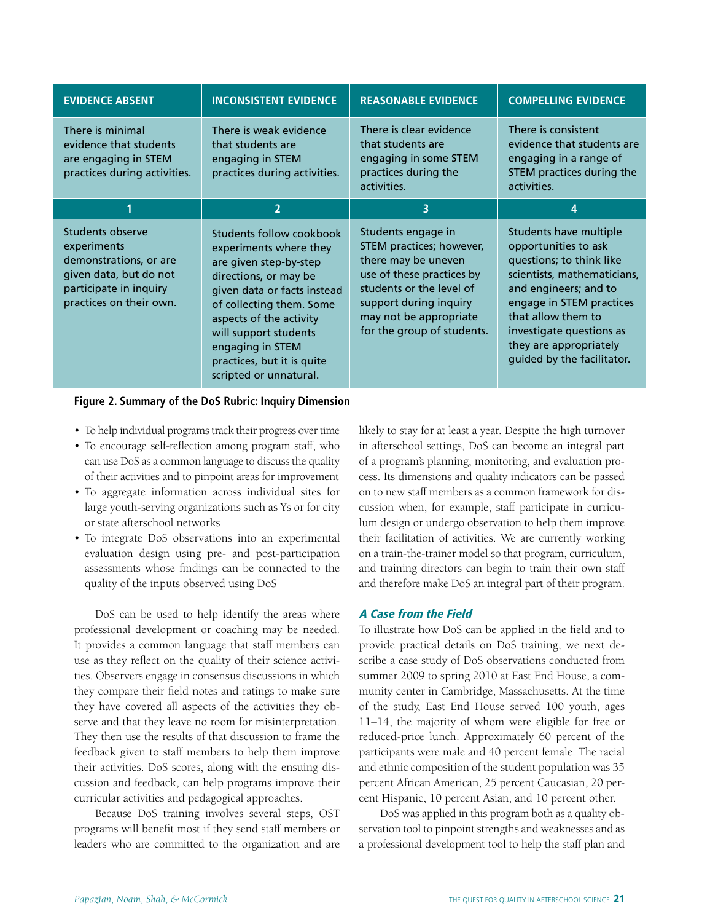| <b>EVIDENCE ABSENT</b>                                                                                                                   | <b>INCONSISTENT EVIDENCE</b>                                                                                                                                                                                                                                                                     | <b>REASONABLE EVIDENCE</b>                                                                                                                                                                                       | <b>COMPELLING EVIDENCE</b>                                                                                                                                                                                                                                               |
|------------------------------------------------------------------------------------------------------------------------------------------|--------------------------------------------------------------------------------------------------------------------------------------------------------------------------------------------------------------------------------------------------------------------------------------------------|------------------------------------------------------------------------------------------------------------------------------------------------------------------------------------------------------------------|--------------------------------------------------------------------------------------------------------------------------------------------------------------------------------------------------------------------------------------------------------------------------|
| There is minimal<br>evidence that students<br>are engaging in STEM<br>practices during activities.                                       | There is weak evidence<br>that students are<br>engaging in STEM<br>practices during activities.                                                                                                                                                                                                  | There is clear evidence<br>that students are<br>engaging in some STEM<br>practices during the<br>activities.                                                                                                     | There is consistent<br>evidence that students are<br>engaging in a range of<br>STEM practices during the<br>activities.                                                                                                                                                  |
| 1                                                                                                                                        | $\overline{2}$                                                                                                                                                                                                                                                                                   | 3                                                                                                                                                                                                                | 4                                                                                                                                                                                                                                                                        |
| Students observe<br>experiments<br>demonstrations, or are<br>given data, but do not<br>participate in inquiry<br>practices on their own. | Students follow cookbook<br>experiments where they<br>are given step-by-step<br>directions, or may be<br>given data or facts instead<br>of collecting them. Some<br>aspects of the activity<br>will support students<br>engaging in STEM<br>practices, but it is quite<br>scripted or unnatural. | Students engage in<br>STEM practices; however,<br>there may be uneven<br>use of these practices by<br>students or the level of<br>support during inquiry<br>may not be appropriate<br>for the group of students. | Students have multiple<br>opportunities to ask<br>questions; to think like<br>scientists, mathematicians,<br>and engineers; and to<br>engage in STEM practices<br>that allow them to<br>investigate questions as<br>they are appropriately<br>guided by the facilitator. |

# **Figure 2. Summary of the DoS Rubric: Inquiry Dimension**

- • To help individual programs track their progress over time
- • To encourage self-reflection among program staff, who can use DoS as a common language to discuss the quality of their activities and to pinpoint areas for improvement
- • To aggregate information across individual sites for large youth-serving organizations such as Ys or for city or state afterschool networks
- • To integrate DoS observations into an experimental evaluation design using pre- and post-participation assessments whose findings can be connected to the quality of the inputs observed using DoS

DoS can be used to help identify the areas where professional development or coaching may be needed. It provides a common language that staff members can use as they reflect on the quality of their science activities. Observers engage in consensus discussions in which they compare their field notes and ratings to make sure they have covered all aspects of the activities they observe and that they leave no room for misinterpretation. They then use the results of that discussion to frame the feedback given to staff members to help them improve their activities. DoS scores, along with the ensuing discussion and feedback, can help programs improve their curricular activities and pedagogical approaches.

Because DoS training involves several steps, OST programs will benefit most if they send staff members or leaders who are committed to the organization and are

likely to stay for at least a year. Despite the high turnover in afterschool settings, DoS can become an integral part of a program's planning, monitoring, and evaluation process. Its dimensions and quality indicators can be passed on to new staff members as a common framework for discussion when, for example, staff participate in curriculum design or undergo observation to help them improve their facilitation of activities. We are currently working on a train-the-trainer model so that program, curriculum, and training directors can begin to train their own staff and therefore make DoS an integral part of their program.

# A Case from the Field

To illustrate how DoS can be applied in the field and to provide practical details on DoS training, we next describe a case study of DoS observations conducted from summer 2009 to spring 2010 at East End House, a community center in Cambridge, Massachusetts. At the time of the study, East End House served 100 youth, ages 11–14, the majority of whom were eligible for free or reduced-price lunch. Approximately 60 percent of the participants were male and 40 percent female. The racial and ethnic composition of the student population was 35 percent African American, 25 percent Caucasian, 20 percent Hispanic, 10 percent Asian, and 10 percent other.

DoS was applied in this program both as a quality observation tool to pinpoint strengths and weaknesses and as a professional development tool to help the staff plan and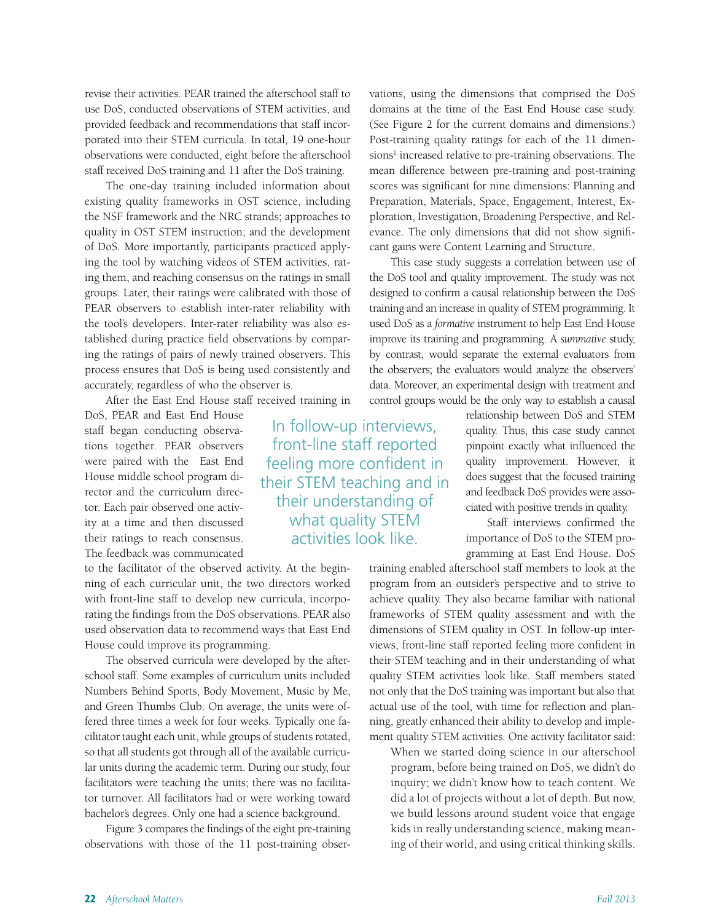revise their activities. PEAR trained the afterschool staff to use DoS, conducted observations of STEM activities, and provided feedback and recommendations that staff incorporated into their STEM curricula. In total, 19 one-hour observations were conducted, eight before the afterschool staff received DoS training and 11 after the DoS training.

The one-day training included information about existing quality frameworks in OST science, including the NSF framework and the NRC strands; approaches to quality in OST STEM instruction; and the development of DoS. More importantly, participants practiced applying the tool by watching videos of STEM activities, rating them, and reaching consensus on the ratings in small groups. Later, their ratings were calibrated with those of PEAR observers to establish inter-rater reliability with the tool's developers. Inter-rater reliability was also established during practice field observations by comparing the ratings of pairs of newly trained observers. This process ensures that DoS is being used consistently and accurately, regardless of who the observer is.

After the East End House staff received training in

DoS, PEAR and East End House staff began conducting observations together. PEAR observers were paired with the East End House middle school program director and the curriculum director. Each pair observed one activity at a time and then discussed their ratings to reach consensus. The feedback was communicated

to the facilitator of the observed activity. At the beginning of each curricular unit, the two directors worked with front-line staff to develop new curricula, incorporating the findings from the DoS observations. PEAR also used observation data to recommend ways that East End House could improve its programming.

The observed curricula were developed by the afterschool staff. Some examples of curriculum units included Numbers Behind Sports, Body Movement, Music by Me, and Green Thumbs Club. On average, the units were offered three times a week for four weeks. Typically one facilitator taught each unit, while groups of students rotated, so that all students got through all of the available curricular units during the academic term. During our study, four facilitators were teaching the units; there was no facilitator turnover. All facilitators had or were working toward bachelor's degrees. Only one had a science background.

Figure 3 compares the findings of the eight pre-training observations with those of the 11 post-training observations, using the dimensions that comprised the DoS domains at the time of the East End House case study. (See Figure 2 for the current domains and dimensions.) Post-training quality ratings for each of the 11 dimensions<sup>1</sup> increased relative to pre-training observations. The mean difference between pre-training and post-training scores was significant for nine dimensions: Planning and Preparation, Materials, Space, Engagement, Interest, Exploration, Investigation, Broadening Perspective, and Relevance. The only dimensions that did not show significant gains were Content Learning and Structure.

This case study suggests a correlation between use of the DoS tool and quality improvement. The study was not designed to confirm a causal relationship between the DoS training and an increase in quality of STEM programming. It used DoS as a *formative* instrument to help East End House improve its training and programming. A *summative* study, by contrast, would separate the external evaluators from the observers; the evaluators would analyze the observers' data. Moreover, an experimental design with treatment and control groups would be the only way to establish a causal

> relationship between DoS and STEM quality. Thus, this case study cannot pinpoint exactly what influenced the quality improvement. However, it does suggest that the focused training and feedback DoS provides were associated with positive trends in quality.

> Staff interviews confirmed the importance of DoS to the STEM programming at East End House. DoS

training enabled afterschool staff members to look at the program from an outsider's perspective and to strive to achieve quality. They also became familiar with national frameworks of STEM quality assessment and with the dimensions of STEM quality in OST. In follow-up interviews, front-line staff reported feeling more confident in their STEM teaching and in their understanding of what quality STEM activities look like. Staff members stated not only that the DoS training was important but also that actual use of the tool, with time for reflection and planning, greatly enhanced their ability to develop and implement quality STEM activities. One activity facilitator said:

When we started doing science in our afterschool program, before being trained on DoS, we didn't do inquiry; we didn't know how to teach content. We did a lot of projects without a lot of depth. But now, we build lessons around student voice that engage kids in really understanding science, making meaning of their world, and using critical thinking skills.

In follow-up interviews, front-line staff reported feeling more confident in their STEM teaching and in their understanding of what quality STEM activities look like.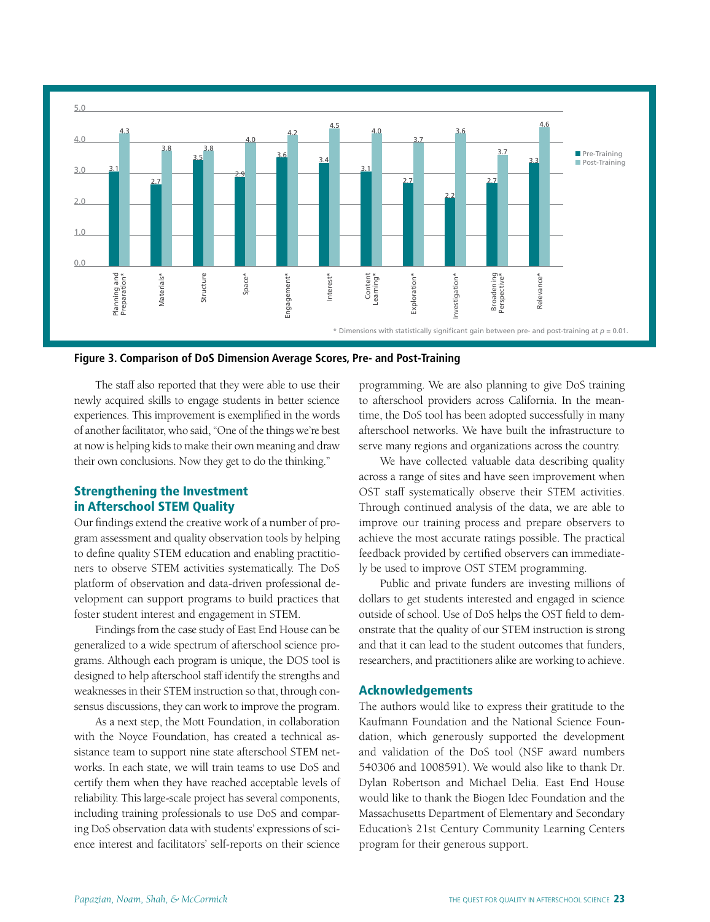



The staff also reported that they were able to use their newly acquired skills to engage students in better science experiences. This improvement is exemplified in the words of another facilitator, who said, "One of the things we're best at now is helping kids to make their own meaning and draw their own conclusions. Now they get to do the thinking."

# Strengthening the Investment in Afterschool STEM Quality

Our findings extend the creative work of a number of program assessment and quality observation tools by helping to define quality STEM education and enabling practitioners to observe STEM activities systematically. The DoS platform of observation and data-driven professional development can support programs to build practices that foster student interest and engagement in STEM.

Findings from the case study of East End House can be generalized to a wide spectrum of afterschool science programs. Although each program is unique, the DOS tool is designed to help afterschool staff identify the strengths and weaknesses in their STEM instruction so that, through consensus discussions, they can work to improve the program.

As a next step, the Mott Foundation, in collaboration with the Noyce Foundation, has created a technical assistance team to support nine state afterschool STEM networks. In each state, we will train teams to use DoS and certify them when they have reached acceptable levels of reliability. This large-scale project has several components, including training professionals to use DoS and comparing DoS observation data with students' expressions of science interest and facilitators' self-reports on their science

programming. We are also planning to give DoS training to afterschool providers across California. In the meantime, the DoS tool has been adopted successfully in many afterschool networks. We have built the infrastructure to serve many regions and organizations across the country.

We have collected valuable data describing quality across a range of sites and have seen improvement when OST staff systematically observe their STEM activities. Through continued analysis of the data, we are able to improve our training process and prepare observers to achieve the most accurate ratings possible. The practical feedback provided by certified observers can immediately be used to improve OST STEM programming.

Public and private funders are investing millions of dollars to get students interested and engaged in science outside of school. Use of DoS helps the OST field to demonstrate that the quality of our STEM instruction is strong and that it can lead to the student outcomes that funders, researchers, and practitioners alike are working to achieve.

# Acknowledgements

The authors would like to express their gratitude to the Kaufmann Foundation and the National Science Foundation, which generously supported the development and validation of the DoS tool (NSF award numbers 540306 and 1008591). We would also like to thank Dr. Dylan Robertson and Michael Delia. East End House would like to thank the Biogen Idec Foundation and the Massachusetts Department of Elementary and Secondary Education's 21st Century Community Learning Centers program for their generous support.